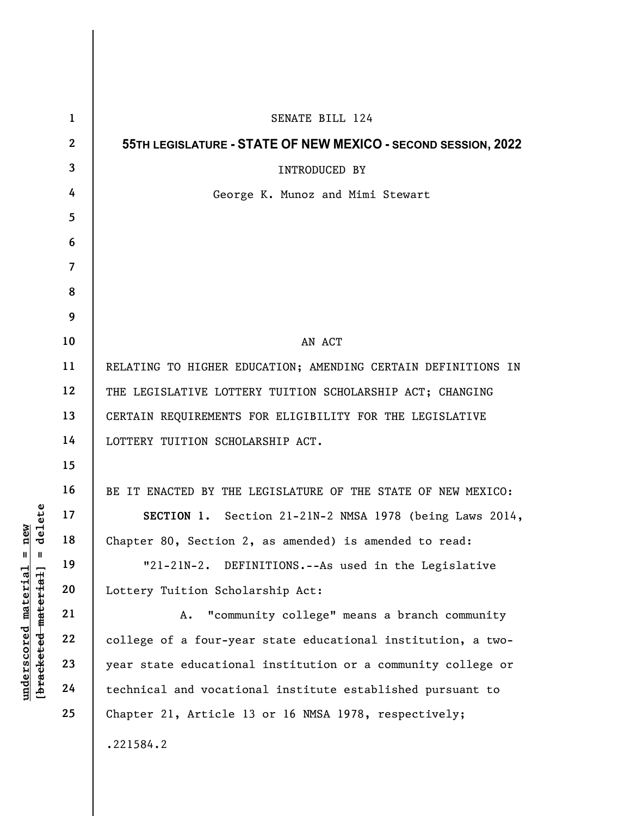| $\mathbf{1}$   | SENATE BILL 124                                               |
|----------------|---------------------------------------------------------------|
| $\mathbf{2}$   | 55TH LEGISLATURE - STATE OF NEW MEXICO - SECOND SESSION, 2022 |
| 3              | INTRODUCED BY                                                 |
| 4              | George K. Munoz and Mimi Stewart                              |
| 5              |                                                               |
| 6              |                                                               |
| $\overline{7}$ |                                                               |
| 8              |                                                               |
| 9              |                                                               |
| 10             | AN ACT                                                        |
| 11             | RELATING TO HIGHER EDUCATION; AMENDING CERTAIN DEFINITIONS IN |
| 12             | THE LEGISLATIVE LOTTERY TUITION SCHOLARSHIP ACT; CHANGING     |
| 13             | CERTAIN REQUIREMENTS FOR ELIGIBILITY FOR THE LEGISLATIVE      |
| 14             | LOTTERY TUITION SCHOLARSHIP ACT.                              |
| 15             |                                                               |
| 16             | BE IT ENACTED BY THE LEGISLATURE OF THE STATE OF NEW MEXICO:  |
| 17             | SECTION 1. Section 21-21N-2 NMSA 1978 (being Laws 2014,       |
| 18             | Chapter 80, Section 2, as amended) is amended to read:        |
| 19             | "21-21N-2. DEFINITIONS.--As used in the Legislative           |
| 20             | Lottery Tuition Scholarship Act:                              |
| 21             | "community college" means a branch community<br>Α.            |
| 22             | college of a four-year state educational institution, a two-  |
| 23             | year state educational institution or a community college or  |
| 24             | technical and vocational institute established pursuant to    |
| 25             | Chapter 21, Article 13 or 16 NMSA 1978, respectively;         |
|                | .221584.2                                                     |
|                |                                                               |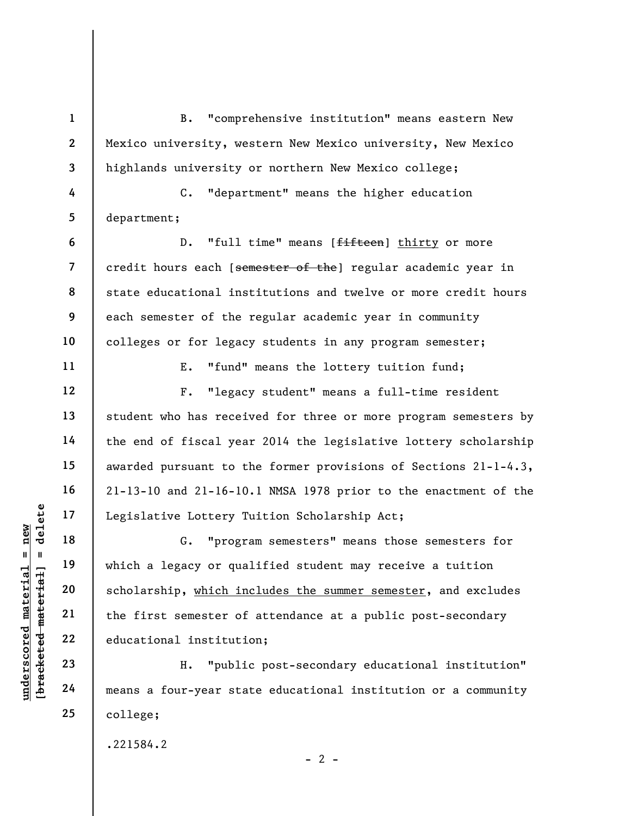underscores and the same of the same of the first semester of<br>
understanding the first semester of<br>
understanding the first semester of<br>
understanding the first semester of<br>
ducational institutions<br>
23<br>
24 means a four-yea 1 2 3 4 5 6 7 8 9 10 11 12 13 14 15 16 17 18 19 20 21 22 23 B. "comprehensive institution" means eastern New Mexico university, western New Mexico university, New Mexico highlands university or northern New Mexico college; C. "department" means the higher education department; D. "full time" means [fifteen] thirty or more credit hours each [semester of the] regular academic year in state educational institutions and twelve or more credit hours each semester of the regular academic year in community colleges or for legacy students in any program semester; E. "fund" means the lottery tuition fund; F. "legacy student" means a full-time resident student who has received for three or more program semesters by the end of fiscal year 2014 the legislative lottery scholarship awarded pursuant to the former provisions of Sections 21-1-4.3, 21-13-10 and 21-16-10.1 NMSA 1978 prior to the enactment of the Legislative Lottery Tuition Scholarship Act; G. "program semesters" means those semesters for which a legacy or qualified student may receive a tuition scholarship, which includes the summer semester, and excludes the first semester of attendance at a public post-secondary educational institution; H. "public post-secondary educational institution"

means a four-year state educational institution or a community college;

 $- 2 -$ 

.221584.2

24

25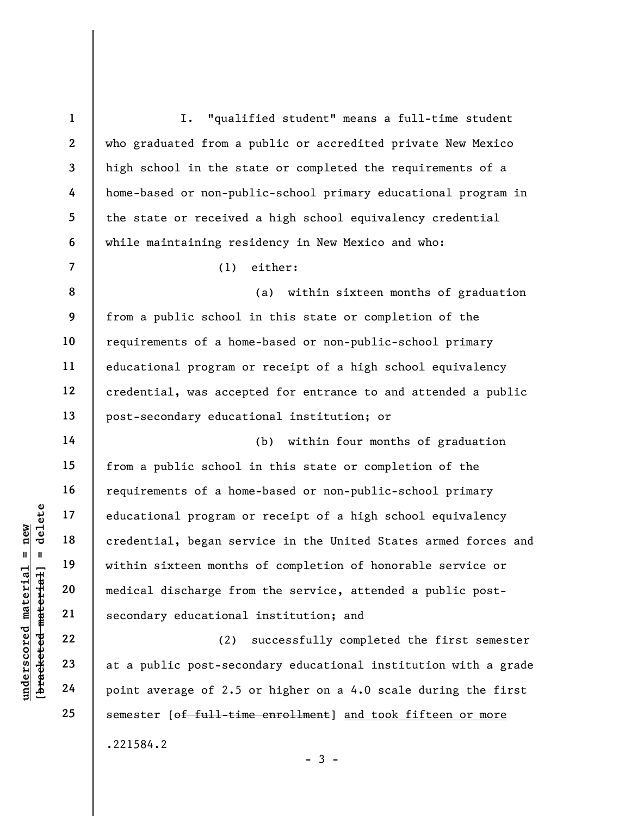underscored material = new [bracketed material] = delete 1 2 3 4 5 6 7 8 9 10 11 12 13 14 15 16 17 18 19 20 21 22 23 24 25 I. "qualified student" means a full-time student who graduated from a public or accredited private New Mexico high school in the state or completed the requirements of a home-based or non-public-school primary educational program in the state or received a high school equivalency credential while maintaining residency in New Mexico and who: (1) either: (a) within sixteen months of graduation from a public school in this state or completion of the requirements of a home-based or non-public-school primary educational program or receipt of a high school equivalency credential, was accepted for entrance to and attended a public post-secondary educational institution; or (b) within four months of graduation from a public school in this state or completion of the requirements of a home-based or non-public-school primary educational program or receipt of a high school equivalency credential, began service in the United States armed forces and within sixteen months of completion of honorable service or medical discharge from the service, attended a public postsecondary educational institution; and (2) successfully completed the first semester at a public post-secondary educational institution with a grade point average of 2.5 or higher on a 4.0 scale during the first semester [of full-time enrollment] and took fifteen or more

 $-3 -$ 

.221584.2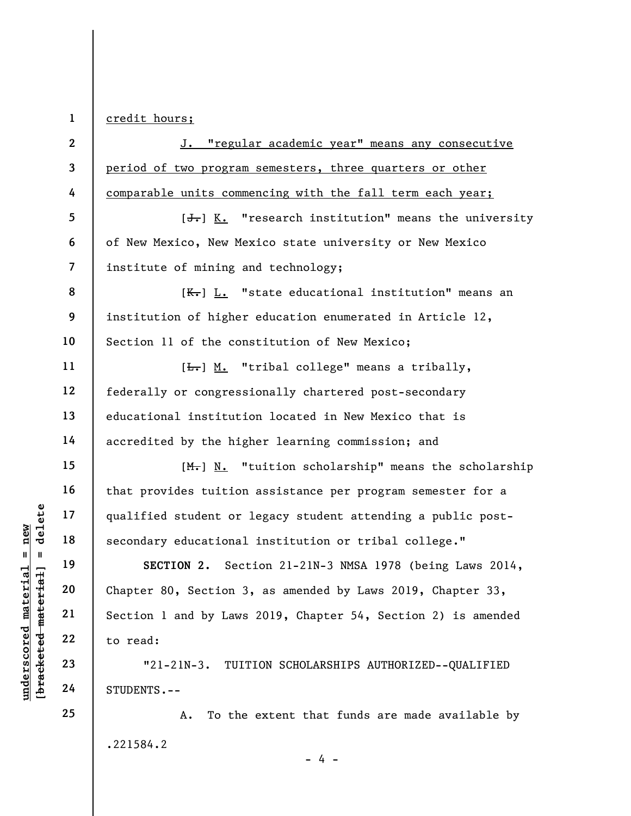1 credit hours;

|                        | $\mathbf{2}$            | J. "regular academic year" means any consecutive                      |
|------------------------|-------------------------|-----------------------------------------------------------------------|
|                        | 3                       | period of two program semesters, three quarters or other              |
|                        | 4                       | comparable units commencing with the fall term each year;             |
|                        | 5                       | $[\frac{1}{\sqrt{1}}]$ K. "research institution" means the university |
|                        | 6                       | of New Mexico, New Mexico state university or New Mexico              |
|                        | $\overline{\mathbf{z}}$ | institute of mining and technology;                                   |
|                        | 8                       | $K-$ ] L. "state educational institution" means an                    |
|                        | 9                       | institution of higher education enumerated in Article 12,             |
|                        | 10                      | Section 11 of the constitution of New Mexico;                         |
|                        | 11                      | [ <del>L.</del> ] M. "tribal college" means a tribally,               |
|                        | 12                      | federally or congressionally chartered post-secondary                 |
|                        | 13                      | educational institution located in New Mexico that is                 |
|                        | 14                      | accredited by the higher learning commission; and                     |
|                        | 15                      | $[M_r]$ N. "tuition scholarship" means the scholarship                |
|                        | 16                      | that provides tuition assistance per program semester for a           |
| delete                 | 17                      | qualified student or legacy student attending a public post-          |
| new                    | 18                      | secondary educational institution or tribal college."                 |
| $\blacksquare$<br>- II | 19                      | Section 21-21N-3 NMSA 1978 (being Laws 2014,<br>SECTION 2.            |
| $\pm$ a $\pm$ ]        | 20                      | Chapter 80, Section 3, as amended by Laws 2019, Chapter 33,           |
| [bracketed mate1       | 21                      | Section 1 and by Laws 2019, Chapter 54, Section 2) is amended         |
| underscored material   | 22                      | to read:                                                              |
|                        | 23                      | $"21-21N-3.$<br>TUITION SCHOLARSHIPS AUTHORIZED--QUALIFIED            |
|                        | 24                      | STUDENTS.--                                                           |
|                        | 25                      | To the extent that funds are made available by<br>Α.                  |
|                        |                         | .221584.2                                                             |

 $- 4 -$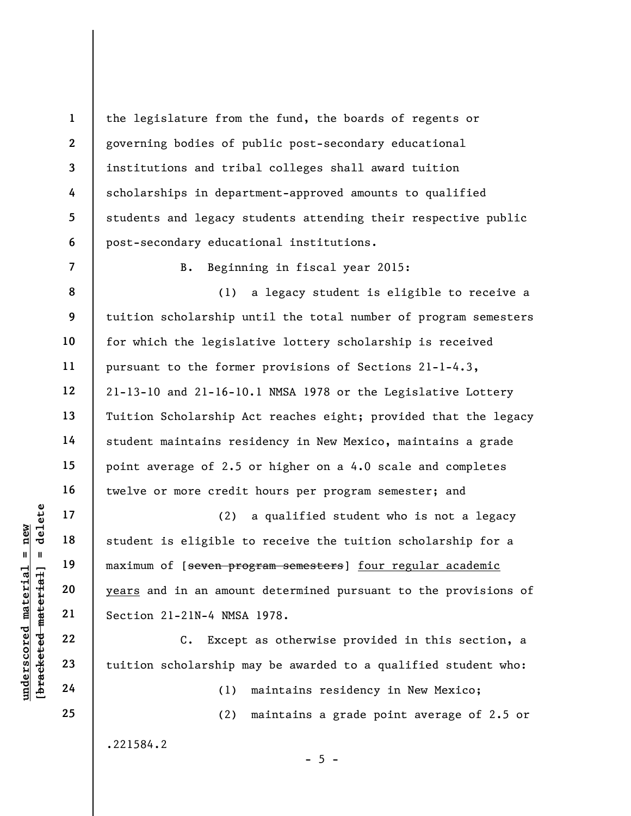the legislature from the fund, the boards of regents or governing bodies of public post-secondary educational institutions and tribal colleges shall award tuition scholarships in department-approved amounts to qualified students and legacy students attending their respective public post-secondary educational institutions.

B. Beginning in fiscal year 2015:

8 9 10 11 12 13 14 15 16 (1) a legacy student is eligible to receive a tuition scholarship until the total number of program semesters for which the legislative lottery scholarship is received pursuant to the former provisions of Sections 21-1-4.3, 21-13-10 and 21-16-10.1 NMSA 1978 or the Legislative Lottery Tuition Scholarship Act reaches eight; provided that the legacy student maintains residency in New Mexico, maintains a grade point average of 2.5 or higher on a 4.0 scale and completes twelve or more credit hours per program semester; and

underscored material material engine the material material engine the material material material material material section 21-21N-4 NMSA<br>
underscore of the material section 21-21N-4 NMSA<br>
22<br>
underscore de transition schol (2) a qualified student who is not a legacy student is eligible to receive the tuition scholarship for a maximum of [seven program semesters] four regular academic years and in an amount determined pursuant to the provisions of Section 21-21N-4 NMSA 1978.

C. Except as otherwise provided in this section, a tuition scholarship may be awarded to a qualified student who:

 $- 5 -$ 

(1) maintains residency in New Mexico;

(2) maintains a grade point average of 2.5 or

.221584.2

17

18

19

20

21

22

23

24

25

1

2

3

4

5

6

7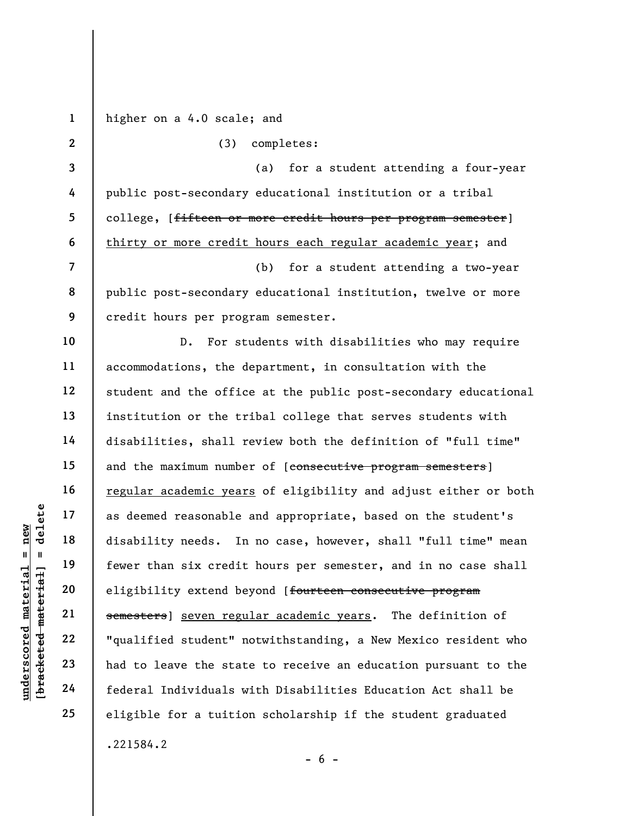underscored material = new [bracketed material] = delete 1 2 3 4 5 6 7 8 9 10 11 12 13 14 15 16 17 18 19 20 21 22 23 24 25 higher on a 4.0 scale; and (3) completes: (a) for a student attending a four-year public post-secondary educational institution or a tribal college, [<del>fifteen or more credit hours per program semester</del>] thirty or more credit hours each regular academic year; and (b) for a student attending a two-year public post-secondary educational institution, twelve or more credit hours per program semester. D. For students with disabilities who may require accommodations, the department, in consultation with the student and the office at the public post-secondary educational institution or the tribal college that serves students with disabilities, shall review both the definition of "full time" and the maximum number of [consecutive program semesters] regular academic years of eligibility and adjust either or both as deemed reasonable and appropriate, based on the student's disability needs. In no case, however, shall "full time" mean fewer than six credit hours per semester, and in no case shall eligibility extend beyond [fourteen consecutive program semesters] seven regular academic years. The definition of "qualified student" notwithstanding, a New Mexico resident who had to leave the state to receive an education pursuant to the federal Individuals with Disabilities Education Act shall be eligible for a tuition scholarship if the student graduated .221584.2

 $- 6 -$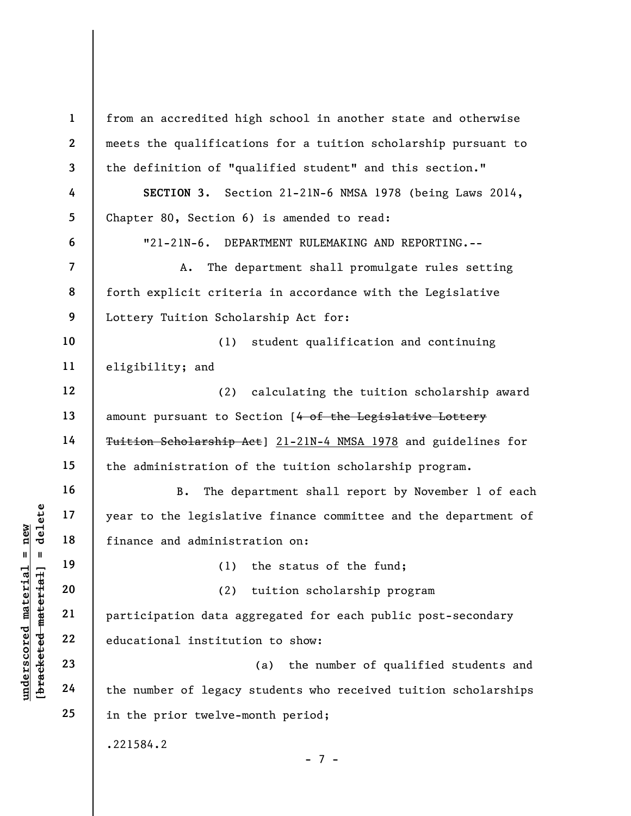understand material of the legislation<br>  $\begin{bmatrix}\n\frac{1}{2} & \frac{1}{2} & \frac{1}{2} & \frac{1}{2} \\
\frac{1}{2} & \frac{1}{2} & \frac{1}{2} & \frac{1}{2} \\
\frac{1}{2} & \frac{1}{2} & \frac{1}{2} & \frac{1}{2} \\
\frac{1}{2} & \frac{1}{2} & \frac{1}{2} & \frac{1}{2} \\
\frac{1}{2} & \frac{1}{2} & \frac{1}{2} & \frac{1}{2} \\
\frac{1}{2} & \frac{1}{2$ 1 2 3 4 5 6 7 8 9 10 11 12 13 14 15 16 17 18 19 20 21 22 23 24 25 from an accredited high school in another state and otherwise meets the qualifications for a tuition scholarship pursuant to the definition of "qualified student" and this section." SECTION 3. Section 21-21N-6 NMSA 1978 (being Laws 2014, Chapter 80, Section 6) is amended to read: "21-21N-6. DEPARTMENT RULEMAKING AND REPORTING.-- A. The department shall promulgate rules setting forth explicit criteria in accordance with the Legislative Lottery Tuition Scholarship Act for: (1) student qualification and continuing eligibility; and (2) calculating the tuition scholarship award amount pursuant to Section [4 of the Legislative Lottery Tuition Scholarship Act] 21-21N-4 NMSA 1978 and guidelines for the administration of the tuition scholarship program. B. The department shall report by November 1 of each year to the legislative finance committee and the department of finance and administration on: (1) the status of the fund; (2) tuition scholarship program participation data aggregated for each public post-secondary educational institution to show: (a) the number of qualified students and the number of legacy students who received tuition scholarships in the prior twelve-month period; .221584.2 - 7 -